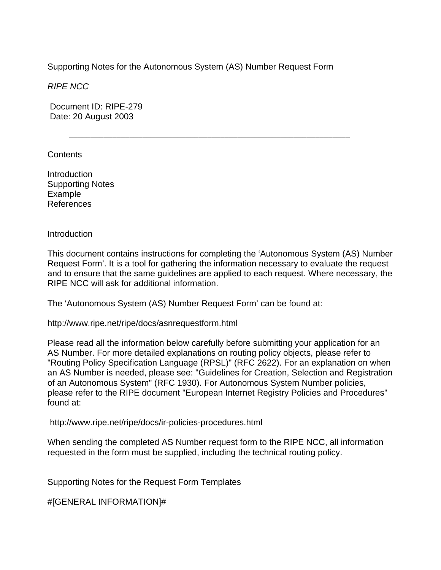Supporting Notes for the Autonomous System (AS) Number Request Form

 $\mathcal{L} = \{ \mathcal{L} = \{ \mathcal{L} \mid \mathcal{L} = \{ \mathcal{L} \mid \mathcal{L} = \{ \mathcal{L} \mid \mathcal{L} = \{ \mathcal{L} \mid \mathcal{L} = \{ \mathcal{L} \mid \mathcal{L} = \{ \mathcal{L} \mid \mathcal{L} = \{ \mathcal{L} \mid \mathcal{L} = \{ \mathcal{L} \mid \mathcal{L} = \{ \mathcal{L} \mid \mathcal{L} = \{ \mathcal{L} \mid \mathcal{L} = \{ \mathcal{L} \mid \mathcal{L} = \{ \mathcal{L} \mid \mathcal{L} =$ 

*RIPE NCC* 

 Document ID: RIPE-279 Date: 20 August 2003

**Contents** 

Introduction Supporting Notes Example References

**Introduction** 

This document contains instructions for completing the 'Autonomous System (AS) Number Request Form'. It is a tool for gathering the information necessary to evaluate the request and to ensure that the same guidelines are applied to each request. Where necessary, the RIPE NCC will ask for additional information.

The 'Autonomous System (AS) Number Request Form' can be found at:

http://www.ripe.net/ripe/docs/asnrequestform.html

Please read all the information below carefully before submitting your application for an AS Number. For more detailed explanations on routing policy objects, please refer to "Routing Policy Specification Language (RPSL)" (RFC 2622). For an explanation on when an AS Number is needed, please see: "Guidelines for Creation, Selection and Registration of an Autonomous System" (RFC 1930). For Autonomous System Number policies, please refer to the RIPE document "European Internet Registry Policies and Procedures" found at:

http://www.ripe.net/ripe/docs/ir-policies-procedures.html

When sending the completed AS Number request form to the RIPE NCC, all information requested in the form must be supplied, including the technical routing policy.

Supporting Notes for the Request Form Templates

#[GENERAL INFORMATION]#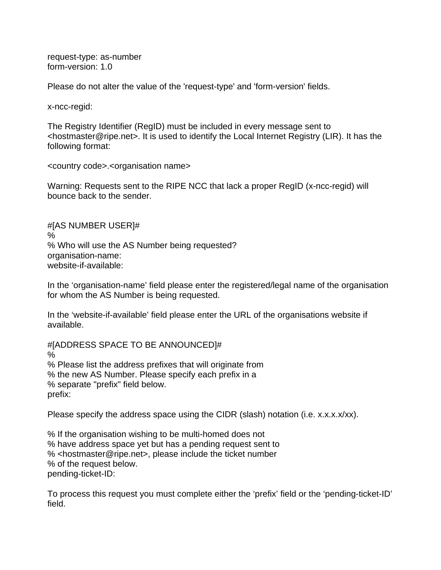request-type: as-number form-version: 1.0

Please do not alter the value of the 'request-type' and 'form-version' fields.

x-ncc-regid:

The Registry Identifier (RegID) must be included in every message sent to <hostmaster@ripe.net>. It is used to identify the Local Internet Registry (LIR). It has the following format:

<country code>.<organisation name>

Warning: Requests sent to the RIPE NCC that lack a proper RegID (x-ncc-regid) will bounce back to the sender.

#[AS NUMBER USER]# % % Who will use the AS Number being requested? organisation-name: website-if-available:

In the 'organisation-name' field please enter the registered/legal name of the organisation for whom the AS Number is being requested.

In the 'website-if-available' field please enter the URL of the organisations website if available.

#[ADDRESS SPACE TO BE ANNOUNCED]# % % Please list the address prefixes that will originate from % the new AS Number. Please specify each prefix in a % separate "prefix" field below. prefix:

Please specify the address space using the CIDR (slash) notation (i.e. x.x.x.x/xx).

% If the organisation wishing to be multi-homed does not % have address space yet but has a pending request sent to % <hostmaster@ripe.net>, please include the ticket number % of the request below. pending-ticket-ID:

To process this request you must complete either the 'prefix' field or the 'pending-ticket-ID' field.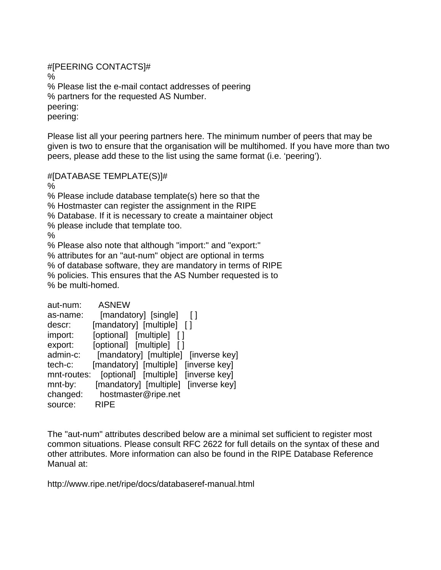#[PEERING CONTACTS]# % % Please list the e-mail contact addresses of peering % partners for the requested AS Number. peering: peering:

Please list all your peering partners here. The minimum number of peers that may be given is two to ensure that the organisation will be multihomed. If you have more than two peers, please add these to the list using the same format (i.e. 'peering').

#[DATABASE TEMPLATE(S)]#

%

% Please include database template(s) here so that the

% Hostmaster can register the assignment in the RIPE

% Database. If it is necessary to create a maintainer object

% please include that template too.

%

% Please also note that although "import:" and "export:"

% attributes for an "aut-num" object are optional in terms

% of database software, they are mandatory in terms of RIPE

% policies. This ensures that the AS Number requested is to % be multi-homed.

| aut-num:    | <b>ASNEW</b>                         |
|-------------|--------------------------------------|
| as-name:    | [mandatory] [single] []              |
| descr:      | [mandatory] [multiple] []            |
| import:     | [optional] [multiple] []             |
| export:     | [optional] [multiple] []             |
| admin-c:    | [mandatory] [multiple] [inverse key] |
| tech-c:     | [mandatory] [multiple] [inverse key] |
| mnt-routes: | [optional] [multiple] [inverse key]  |
| mnt-by:     | [mandatory] [multiple] [inverse key] |
| changed:    | hostmaster@ripe.net                  |
| source:     | <b>RIPE</b>                          |

The "aut-num" attributes described below are a minimal set sufficient to register most common situations. Please consult RFC 2622 for full details on the syntax of these and other attributes. More information can also be found in the RIPE Database Reference Manual at:

http://www.ripe.net/ripe/docs/databaseref-manual.html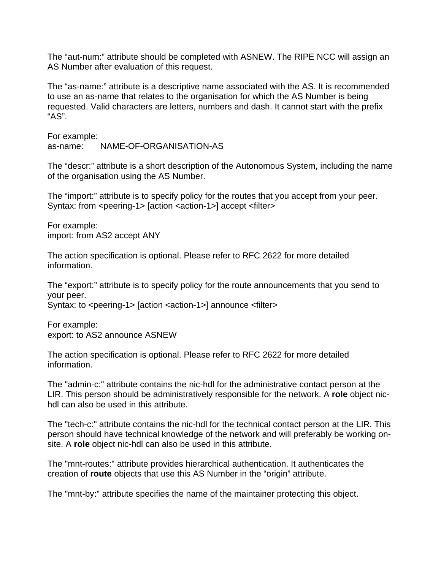The "aut-num:" attribute should be completed with ASNEW. The RIPE NCC will assign an AS Number after evaluation of this request.

The "as-name:" attribute is a descriptive name associated with the AS. It is recommended to use an as-name that relates to the organisation for which the AS Number is being requested. Valid characters are letters, numbers and dash. It cannot start with the prefix "AS".

For example: as-name: NAME-OF-ORGANISATION-AS

The "descr:" attribute is a short description of the Autonomous System, including the name of the organisation using the AS Number.

The "import:" attribute is to specify policy for the routes that you accept from your peer. Syntax: from <peering-1> [action <action-1>] accept <filter>

For example: import: from AS2 accept ANY

The action specification is optional. Please refer to RFC 2622 for more detailed information.

The "export:" attribute is to specify policy for the route announcements that you send to your peer.

Syntax: to <peering-1> [action <action-1>] announce <filter>

For example: export: to AS2 announce ASNEW

The action specification is optional. Please refer to RFC 2622 for more detailed information.

The "admin-c:" attribute contains the nic-hdl for the administrative contact person at the LIR. This person should be administratively responsible for the network. A **role** object nichdl can also be used in this attribute.

The "tech-c:" attribute contains the nic-hdl for the technical contact person at the LIR. This person should have technical knowledge of the network and will preferably be working onsite. A **role** object nic-hdl can also be used in this attribute.

The "mnt-routes:" attribute provides hierarchical authentication. It authenticates the creation of **route** objects that use this AS Number in the "origin" attribute.

The "mnt-by:" attribute specifies the name of the maintainer protecting this object.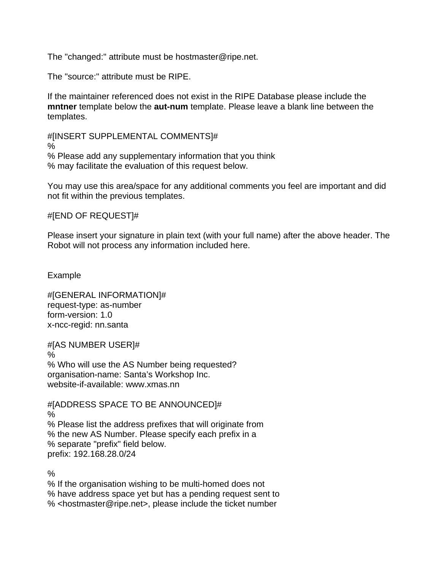The "changed:" attribute must be hostmaster@ripe.net.

The "source:" attribute must be RIPE.

If the maintainer referenced does not exist in the RIPE Database please include the **mntner** template below the **aut-num** template. Please leave a blank line between the templates.

#[INSERT SUPPLEMENTAL COMMENTS]#

%

% Please add any supplementary information that you think % may facilitate the evaluation of this request below.

You may use this area/space for any additional comments you feel are important and did not fit within the previous templates.

#[END OF REQUEST]#

Please insert your signature in plain text (with your full name) after the above header. The Robot will not process any information included here.

Example

#[GENERAL INFORMATION]# request-type: as-number form-version: 1.0 x-ncc-regid: nn.santa

#[AS NUMBER USER]# % % Who will use the AS Number being requested? organisation-name: Santa's Workshop Inc. website-if-available: www.xmas.nn

#[ADDRESS SPACE TO BE ANNOUNCED]# % % Please list the address prefixes that will originate from % the new AS Number. Please specify each prefix in a % separate "prefix" field below. prefix: 192.168.28.0/24

%

% If the organisation wishing to be multi-homed does not % have address space yet but has a pending request sent to % <hostmaster@ripe.net>, please include the ticket number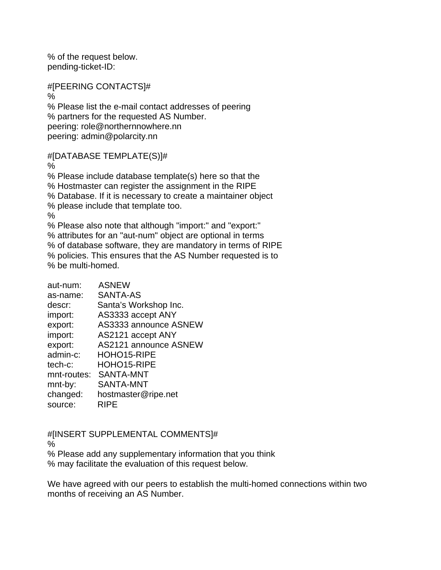% of the request below. pending-ticket-ID:

#[PEERING CONTACTS]#

% % Please list the e-mail contact addresses of peering % partners for the requested AS Number. peering: role@northernnowhere.nn peering: admin@polarcity.nn

#[DATABASE TEMPLATE(S)]#

%

% Please include database template(s) here so that the % Hostmaster can register the assignment in the RIPE % Database. If it is necessary to create a maintainer object % please include that template too. % % Please also note that although "import:" and "export:" % attributes for an "aut-num" object are optional in terms % of database software, they are mandatory in terms of RIPE % policies. This ensures that the AS Number requested is to % be multi-homed.

aut-num: ASNEW as-name: SANTA-AS descr: Santa's Workshop Inc.

| import:     | AS3333 accept ANY     |
|-------------|-----------------------|
| export:     | AS3333 announce ASNEW |
| import:     | AS2121 accept ANY     |
| export:     | AS2121 announce ASNEW |
| admin-c:    | HOHO15-RIPE           |
| tech-c:     | HOHO15-RIPE           |
| mnt-routes: | <b>SANTA-MNT</b>      |
| mnt-by:     | SANTA-MNT             |
| changed:    | hostmaster@ripe.net   |
| source:     | <b>RIPE</b>           |

#[INSERT SUPPLEMENTAL COMMENTS]#

%

% Please add any supplementary information that you think % may facilitate the evaluation of this request below.

We have agreed with our peers to establish the multi-homed connections within two months of receiving an AS Number.